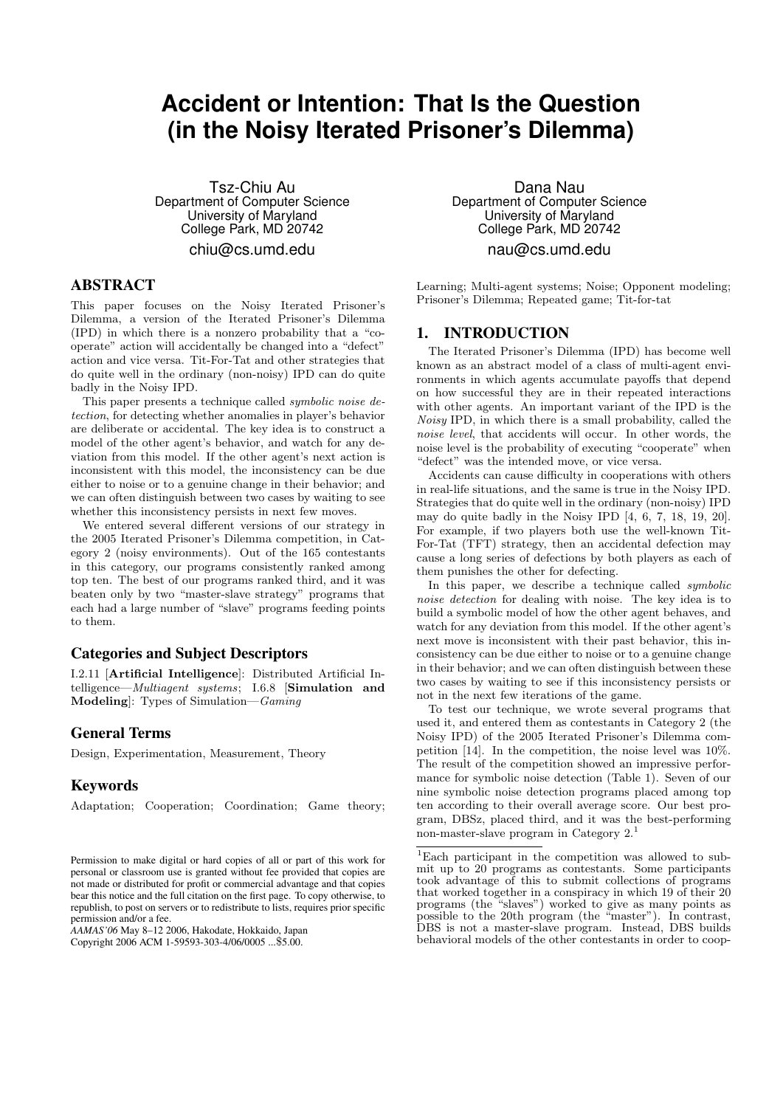# **Accident or Intention: That Is the Question (in the Noisy Iterated Prisoner's Dilemma)**

Tsz-Chiu Au Department of Computer Science University of Maryland College Park, MD 20742

### chiu@cs.umd.edu

# **ABSTRACT**

This paper focuses on the Noisy Iterated Prisoner's Dilemma, a version of the Iterated Prisoner's Dilemma (IPD) in which there is a nonzero probability that a "cooperate" action will accidentally be changed into a "defect" action and vice versa. Tit-For-Tat and other strategies that do quite well in the ordinary (non-noisy) IPD can do quite badly in the Noisy IPD.

This paper presents a technique called symbolic noise detection, for detecting whether anomalies in player's behavior are deliberate or accidental. The key idea is to construct a model of the other agent's behavior, and watch for any deviation from this model. If the other agent's next action is inconsistent with this model, the inconsistency can be due either to noise or to a genuine change in their behavior; and we can often distinguish between two cases by waiting to see whether this inconsistency persists in next few moves.

We entered several different versions of our strategy in the 2005 Iterated Prisoner's Dilemma competition, in Category 2 (noisy environments). Out of the 165 contestants in this category, our programs consistently ranked among top ten. The best of our programs ranked third, and it was beaten only by two "master-slave strategy" programs that each had a large number of "slave" programs feeding points to them.

### Categories and Subject Descriptors

I.2.11 [Artificial Intelligence]: Distributed Artificial Intelligence—Multiagent systems; I.6.8 [Simulation and Modeling]: Types of Simulation—Gaming

### General Terms

Design, Experimentation, Measurement, Theory

### Keywords

Adaptation; Cooperation; Coordination; Game theory;

*AAMAS'06* May 8–12 2006, Hakodate, Hokkaido, Japan Copyright 2006 ACM 1-59593-303-4/06/0005 ...\$5.00.

Dana Nau Department of Computer Science University of Maryland College Park, MD 20742

nau@cs.umd.edu

Learning; Multi-agent systems; Noise; Opponent modeling; Prisoner's Dilemma; Repeated game; Tit-for-tat

### 1. INTRODUCTION

The Iterated Prisoner's Dilemma (IPD) has become well known as an abstract model of a class of multi-agent environments in which agents accumulate payoffs that depend on how successful they are in their repeated interactions with other agents. An important variant of the IPD is the Noisy IPD, in which there is a small probability, called the noise level, that accidents will occur. In other words, the noise level is the probability of executing "cooperate" when "defect" was the intended move, or vice versa.

Accidents can cause difficulty in cooperations with others in real-life situations, and the same is true in the Noisy IPD. Strategies that do quite well in the ordinary (non-noisy) IPD may do quite badly in the Noisy IPD [4, 6, 7, 18, 19, 20]. For example, if two players both use the well-known Tit-For-Tat (TFT) strategy, then an accidental defection may cause a long series of defections by both players as each of them punishes the other for defecting.

In this paper, we describe a technique called symbolic noise detection for dealing with noise. The key idea is to build a symbolic model of how the other agent behaves, and watch for any deviation from this model. If the other agent's next move is inconsistent with their past behavior, this inconsistency can be due either to noise or to a genuine change in their behavior; and we can often distinguish between these two cases by waiting to see if this inconsistency persists or not in the next few iterations of the game.

To test our technique, we wrote several programs that used it, and entered them as contestants in Category 2 (the Noisy IPD) of the 2005 Iterated Prisoner's Dilemma competition [14]. In the competition, the noise level was 10%. The result of the competition showed an impressive performance for symbolic noise detection (Table 1). Seven of our nine symbolic noise detection programs placed among top ten according to their overall average score. Our best program, DBSz, placed third, and it was the best-performing non-master-slave program in Category 2.<sup>1</sup>

Permission to make digital or hard copies of all or part of this work for personal or classroom use is granted without fee provided that copies are not made or distributed for profit or commercial advantage and that copies bear this notice and the full citation on the first page. To copy otherwise, to republish, to post on servers or to redistribute to lists, requires prior specific permission and/or a fee.

<sup>1</sup>Each participant in the competition was allowed to submit up to 20 programs as contestants. Some participants took advantage of this to submit collections of programs that worked together in a conspiracy in which 19 of their 20 programs (the "slaves") worked to give as many points as possible to the 20th program (the "master"). In contrast, DBS is not a master-slave program. Instead, DBS builds behavioral models of the other contestants in order to coop-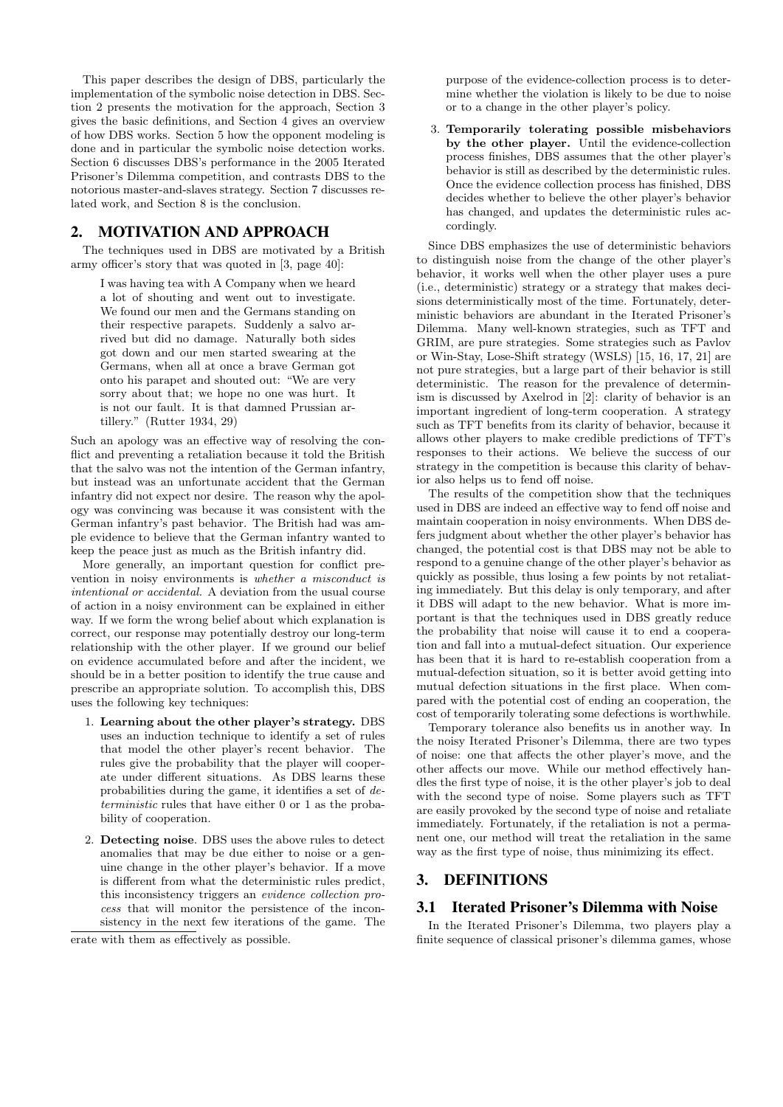This paper describes the design of DBS, particularly the implementation of the symbolic noise detection in DBS. Section 2 presents the motivation for the approach, Section 3 gives the basic definitions, and Section 4 gives an overview of how DBS works. Section 5 how the opponent modeling is done and in particular the symbolic noise detection works. Section 6 discusses DBS's performance in the 2005 Iterated Prisoner's Dilemma competition, and contrasts DBS to the notorious master-and-slaves strategy. Section 7 discusses related work, and Section 8 is the conclusion.

# 2. MOTIVATION AND APPROACH

The techniques used in DBS are motivated by a British army officer's story that was quoted in [3, page 40]:

I was having tea with A Company when we heard a lot of shouting and went out to investigate. We found our men and the Germans standing on their respective parapets. Suddenly a salvo arrived but did no damage. Naturally both sides got down and our men started swearing at the Germans, when all at once a brave German got onto his parapet and shouted out: "We are very sorry about that; we hope no one was hurt. It is not our fault. It is that damned Prussian artillery." (Rutter 1934, 29)

Such an apology was an effective way of resolving the conflict and preventing a retaliation because it told the British that the salvo was not the intention of the German infantry, but instead was an unfortunate accident that the German infantry did not expect nor desire. The reason why the apology was convincing was because it was consistent with the German infantry's past behavior. The British had was ample evidence to believe that the German infantry wanted to keep the peace just as much as the British infantry did.

More generally, an important question for conflict prevention in noisy environments is whether a misconduct is intentional or accidental. A deviation from the usual course of action in a noisy environment can be explained in either way. If we form the wrong belief about which explanation is correct, our response may potentially destroy our long-term relationship with the other player. If we ground our belief on evidence accumulated before and after the incident, we should be in a better position to identify the true cause and prescribe an appropriate solution. To accomplish this, DBS uses the following key techniques:

- 1. Learning about the other player's strategy. DBS uses an induction technique to identify a set of rules that model the other player's recent behavior. The rules give the probability that the player will cooperate under different situations. As DBS learns these probabilities during the game, it identifies a set of deterministic rules that have either 0 or 1 as the probability of cooperation.
- 2. Detecting noise. DBS uses the above rules to detect anomalies that may be due either to noise or a genuine change in the other player's behavior. If a move is different from what the deterministic rules predict, this inconsistency triggers an evidence collection process that will monitor the persistence of the inconsistency in the next few iterations of the game. The

erate with them as effectively as possible.

purpose of the evidence-collection process is to determine whether the violation is likely to be due to noise or to a change in the other player's policy.

3. Temporarily tolerating possible misbehaviors by the other player. Until the evidence-collection process finishes, DBS assumes that the other player's behavior is still as described by the deterministic rules. Once the evidence collection process has finished, DBS decides whether to believe the other player's behavior has changed, and updates the deterministic rules accordingly.

Since DBS emphasizes the use of deterministic behaviors to distinguish noise from the change of the other player's behavior, it works well when the other player uses a pure (i.e., deterministic) strategy or a strategy that makes decisions deterministically most of the time. Fortunately, deterministic behaviors are abundant in the Iterated Prisoner's Dilemma. Many well-known strategies, such as TFT and GRIM, are pure strategies. Some strategies such as Pavlov or Win-Stay, Lose-Shift strategy (WSLS) [15, 16, 17, 21] are not pure strategies, but a large part of their behavior is still deterministic. The reason for the prevalence of determinism is discussed by Axelrod in [2]: clarity of behavior is an important ingredient of long-term cooperation. A strategy such as TFT benefits from its clarity of behavior, because it allows other players to make credible predictions of TFT's responses to their actions. We believe the success of our strategy in the competition is because this clarity of behavior also helps us to fend off noise.

The results of the competition show that the techniques used in DBS are indeed an effective way to fend off noise and maintain cooperation in noisy environments. When DBS defers judgment about whether the other player's behavior has changed, the potential cost is that DBS may not be able to respond to a genuine change of the other player's behavior as quickly as possible, thus losing a few points by not retaliating immediately. But this delay is only temporary, and after it DBS will adapt to the new behavior. What is more important is that the techniques used in DBS greatly reduce the probability that noise will cause it to end a cooperation and fall into a mutual-defect situation. Our experience has been that it is hard to re-establish cooperation from a mutual-defection situation, so it is better avoid getting into mutual defection situations in the first place. When compared with the potential cost of ending an cooperation, the cost of temporarily tolerating some defections is worthwhile.

Temporary tolerance also benefits us in another way. In the noisy Iterated Prisoner's Dilemma, there are two types of noise: one that affects the other player's move, and the other affects our move. While our method effectively handles the first type of noise, it is the other player's job to deal with the second type of noise. Some players such as TFT are easily provoked by the second type of noise and retaliate immediately. Fortunately, if the retaliation is not a permanent one, our method will treat the retaliation in the same way as the first type of noise, thus minimizing its effect.

### 3. DEFINITIONS

### 3.1 Iterated Prisoner's Dilemma with Noise

In the Iterated Prisoner's Dilemma, two players play a finite sequence of classical prisoner's dilemma games, whose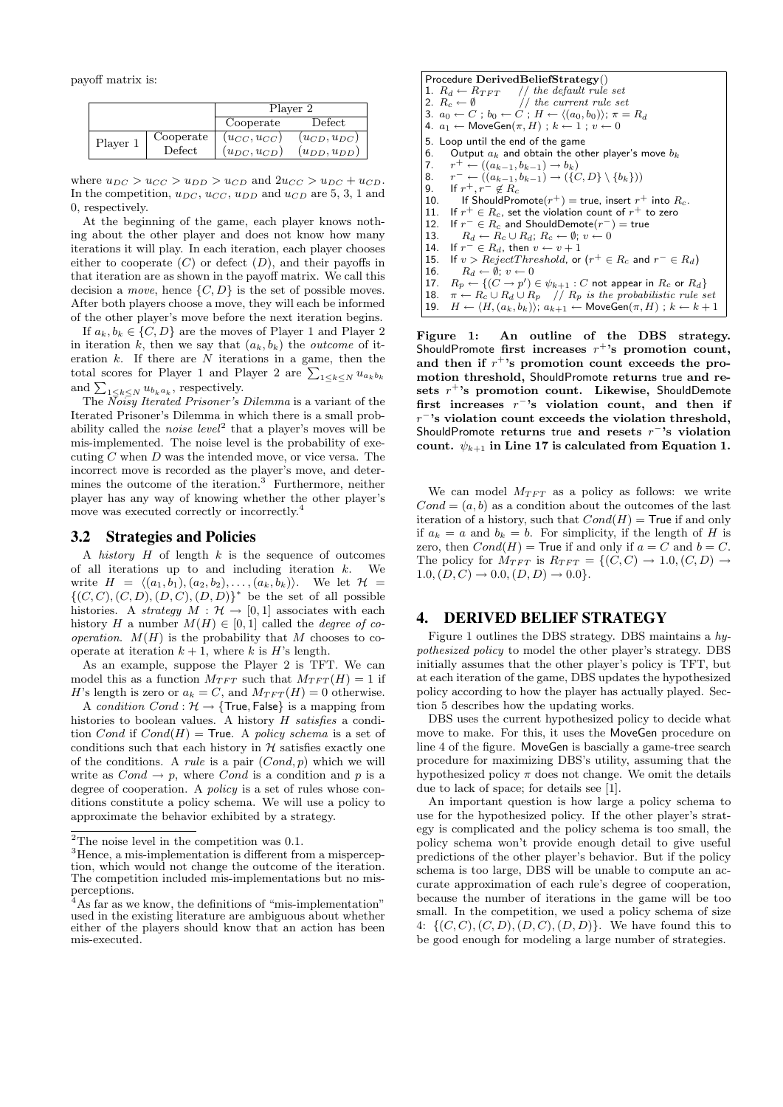payoff matrix is:

|          |                     | Player 2                        |                                          |  |
|----------|---------------------|---------------------------------|------------------------------------------|--|
|          |                     | Cooperate                       | Defect                                   |  |
| Player 1 | Cooperate<br>Defect | (ucc,ucc)<br>$(u_{DC}, u_{CD})$ | $(u_{CD}, u_{DC})$<br>$(u_{DD}, u_{DD})$ |  |

where  $u_{DC} > u_{CC} > u_{DD} > u_{CD}$  and  $2u_{CC} > u_{DC} + u_{CD}$ . In the competition,  $u_{DC}$ ,  $u_{CC}$ ,  $u_{DD}$  and  $u_{CD}$  are 5, 3, 1 and 0, respectively.

At the beginning of the game, each player knows nothing about the other player and does not know how many iterations it will play. In each iteration, each player chooses either to cooperate  $(C)$  or defect  $(D)$ , and their payoffs in that iteration are as shown in the payoff matrix. We call this decision a *move*, hence  $\{C, D\}$  is the set of possible moves. After both players choose a move, they will each be informed of the other player's move before the next iteration begins.

If  $a_k, b_k \in \{C, D\}$  are the moves of Player 1 and Player 2 in iteration k, then we say that  $(a_k, b_k)$  the *outcome* of iteration  $k$ . If there are  $N$  iterations in a game, then the total scores for Player 1 and Player 2 are  $\sum_{1 \leq k \leq N} u_{a_k b_k}$ and  $\sum_{1 \leq k \leq N} u_{b_k a_k}$ , respectively.

The  $N$ oisy Iterated Prisoner's Dilemma is a variant of the Iterated Prisoner's Dilemma in which there is a small probability called the *noise level*<sup>2</sup> that a player's moves will be mis-implemented. The noise level is the probability of executing  $C$  when  $D$  was the intended move, or vice versa. The incorrect move is recorded as the player's move, and determines the outcome of the iteration.<sup>3</sup> Furthermore, neither player has any way of knowing whether the other player's move was executed correctly or incorrectly.<sup>4</sup>

#### 3.2 Strategies and Policies

A history  $H$  of length  $k$  is the sequence of outcomes of all iterations up to and including iteration  $k$ . We write  $H = \langle (a_1, b_1), (a_2, b_2), \ldots, (a_k, b_k) \rangle$ . We let  $\mathcal{H}$  =  $\{(C, C), (C, D), (D, C), (D, D)\}^*$  be the set of all possible histories. A *strategy*  $M : \mathcal{H} \to [0,1]$  associates with each history H a number  $M(H) \in [0, 1]$  called the *degree of cooperation.*  $M(H)$  is the probability that M chooses to cooperate at iteration  $k + 1$ , where k is H's length.

As an example, suppose the Player 2 is TFT. We can model this as a function  $M_{TFT}$  such that  $M_{TFT}(H) = 1$  if H's length is zero or  $a_k = C$ , and  $M_{TFT}(H) = 0$  otherwise.

A condition  $Cond: \mathcal{H} \rightarrow \{\textsf{True}, \textsf{False}\}$  is a mapping from histories to boolean values. A history H satisfies a condition Cond if  $Cond(H)$  = True. A policy schema is a set of conditions such that each history in  $H$  satisfies exactly one of the conditions. A *rule* is a pair  $(Cond, p)$  which we will write as  $Cond \rightarrow p$ , where Cond is a condition and p is a degree of cooperation. A *policy* is a set of rules whose conditions constitute a policy schema. We will use a policy to approximate the behavior exhibited by a strategy.

```
Procedure DerivedBeliefStrategy()
1. R_d \leftarrow R_{TFT} // the default rule set
2. R_c \leftarrow \emptyset // the current rule set
3. a_0 \leftarrow C ; b_0 \leftarrow C ; H \leftarrow \langle (a_0, b_0) \rangle; \pi = R_d4. a_1 \leftarrow \text{MoveGen}(\pi, H); k \leftarrow 1; v \leftarrow 05. Loop until the end of the game
6. Output a_k and obtain the other player's move b_k\frac{7}{8}.
         r^+ \leftarrow ((a_{k-1}, b_{k-1}) \rightarrow b_k)8. r^- \leftarrow ((a_{k-1}, b_{k-1}) \rightarrow (\{C, D\} \setminus \{b_k\}))<br>
9. If r^+, r^- \notin R_c10. If ShouldPromote(r^+) = true, insert r^+ into R_c.
11. If r^+ \in R_c, set the violation count of r^+ to zero
12. If r^- \in R_c and ShouldDemote(r^-) = true<br>13. R_d \leftarrow R_c \cup R_d; R_c \leftarrow \emptyset; v \leftarrow 013. R_d \leftarrow R_c \cup R_d; R_c \leftarrow \emptyset; v \leftarrow 0<br>14. If r^- \in R_d, then v \leftarrow v + 1If r^- ∈ R_d, then v \leftarrow v + 115. If v > RejectThreshold, or (r^+ \in R_c and r^- \in R_d)16. R_d \leftarrow \emptyset; v \leftarrow 0<br>17. R_n \leftarrow \{(C \rightarrow v')\}\17. R_p \leftarrow \{(C \rightarrow p') \in \psi_{k+1} : C \text{ not appear in } R_c \text{ or } R_d\}18. \pi \leftarrow R_c \cup R_d \cup R_p // R_p is the probabilistic rule set
19. H \leftarrow \langle H, (a_k, b_k) \rangle; a_{k+1} \leftarrow \textsf{MoveGen}(\pi, H) ; k \leftarrow k+1
```
Figure 1: An outline of the DBS strategy. ShouldPromote first increases  $r^+$ 's promotion count, and then if  $r^{+}$ 's promotion count exceeds the promotion threshold, ShouldPromote returns true and resets  $r^{+}$ 's promotion count. Likewise, ShouldDemote first increases  $r^{-1}$ 's violation count, and then if  $r^{-1}$ s violation count exceeds the violation threshold, ShouldPromote returns true and resets  $r^{-1}$ s violation count.  $\psi_{k+1}$  in Line 17 is calculated from Equation 1.

We can model  $M_{TFT}$  as a policy as follows: we write  $Cond = (a, b)$  as a condition about the outcomes of the last iteration of a history, such that  $Cond(H)$  = True if and only if  $a_k = a$  and  $b_k = b$ . For simplicity, if the length of H is zero, then  $Cond(H)$  = True if and only if  $a = C$  and  $b = C$ . The policy for  $M_{TFT}$  is  $R_{TFT} = \{(C, C) \rightarrow 1.0, (C, D) \rightarrow$  $1.0, (D, C) \rightarrow 0.0, (D, D) \rightarrow 0.0$ .

### 4. DERIVED BELIEF STRATEGY

Figure 1 outlines the DBS strategy. DBS maintains a hypothesized policy to model the other player's strategy. DBS initially assumes that the other player's policy is TFT, but at each iteration of the game, DBS updates the hypothesized policy according to how the player has actually played. Section 5 describes how the updating works.

DBS uses the current hypothesized policy to decide what move to make. For this, it uses the MoveGen procedure on line 4 of the figure. MoveGen is bascially a game-tree search procedure for maximizing DBS's utility, assuming that the hypothesized policy  $\pi$  does not change. We omit the details due to lack of space; for details see [1].

An important question is how large a policy schema to use for the hypothesized policy. If the other player's strategy is complicated and the policy schema is too small, the policy schema won't provide enough detail to give useful predictions of the other player's behavior. But if the policy schema is too large, DBS will be unable to compute an accurate approximation of each rule's degree of cooperation, because the number of iterations in the game will be too small. In the competition, we used a policy schema of size 4:  $\{(C, C), (C, D), (D, C), (D, D)\}.$  We have found this to be good enough for modeling a large number of strategies.

 $\overline{^{2}$ The noise level in the competition was 0.1.

<sup>3</sup>Hence, a mis-implementation is different from a misperception, which would not change the outcome of the iteration. The competition included mis-implementations but no misperceptions.

<sup>&</sup>lt;sup>4</sup>As far as we know, the definitions of "mis-implementation" used in the existing literature are ambiguous about whether either of the players should know that an action has been mis-executed.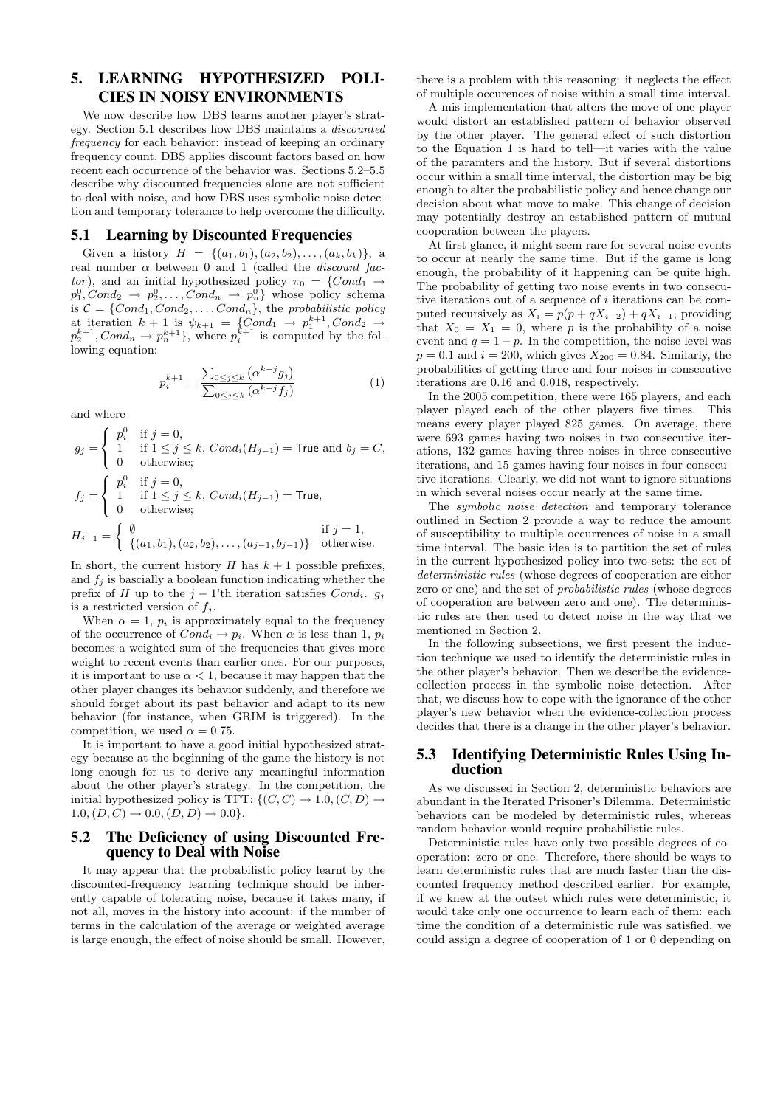# 5. LEARNING HYPOTHESIZED POLI-CIES IN NOISY ENVIRONMENTS

We now describe how DBS learns another player's strategy. Section 5.1 describes how DBS maintains a discounted frequency for each behavior: instead of keeping an ordinary frequency count, DBS applies discount factors based on how recent each occurrence of the behavior was. Sections 5.2–5.5 describe why discounted frequencies alone are not sufficient to deal with noise, and how DBS uses symbolic noise detection and temporary tolerance to help overcome the difficulty.

### 5.1 Learning by Discounted Frequencies

Given a history  $H = \{(a_1, b_1), (a_2, b_2), \ldots, (a_k, b_k)\}\$ , a real number  $\alpha$  between 0 and 1 (called the *discount fac*tor), and an initial hypothesized policy  $\pi_0 = \{Cond_1 \rightarrow$  $p_1^0, Cond_2 \rightarrow p_2^0, \ldots, Cond_n \rightarrow p_n^0$  whose policy schema is  $C = \{Cond_1, Cond_2, \ldots, Cond_n\}$ , the probabilistic policy at iteration  $k + 1$  is  $\psi_{k+1} = \{Cond_1 \rightarrow p_1^{k+1}, Cond_2 \rightarrow$  $p_2^{k+1}, Cond_n \to p_n^{k+1}$ , where  $p_i^{k+1}$  is computed by the following equation:

$$
p_i^{k+1} = \frac{\sum_{0 \le j \le k} (\alpha^{k-j} g_j)}{\sum_{0 \le j \le k} (\alpha^{k-j} f_j)}
$$
(1)

and where

$$
g_j = \begin{cases} p_i^0 & \text{if } j = 0, \\ 1 & \text{if } 1 \le j \le k, \text{Cond}_i(H_{j-1}) = \text{True and } b_j = C, \\ 0 & \text{otherwise;} \end{cases}
$$
  

$$
f_j = \begin{cases} p_i^0 & \text{if } j = 0, \\ 1 & \text{if } 1 \le j \le k, \text{Cond}_i(H_{j-1}) = \text{True,} \\ 0 & \text{otherwise;} \end{cases}
$$
  

$$
H_{j-1} = \begin{cases} \emptyset & \text{if } j = 1, \\ \{(a_1, b_1), (a_2, b_2), \dots, (a_{j-1}, b_{j-1})\} & \text{otherwise.} \end{cases}
$$

In short, the current history  $H$  has  $k + 1$  possible prefixes, and  $f_i$  is bascially a boolean function indicating whether the prefix of H up to the  $j - 1$ 'th iteration satisfies Cond<sub>i</sub>.  $g_j$ is a restricted version of  $f_i$ .

When  $\alpha = 1$ ,  $p_i$  is approximately equal to the frequency of the occurrence of  $Cond_i \rightarrow p_i$ . When  $\alpha$  is less than 1,  $p_i$ becomes a weighted sum of the frequencies that gives more weight to recent events than earlier ones. For our purposes, it is important to use  $\alpha < 1$ , because it may happen that the other player changes its behavior suddenly, and therefore we should forget about its past behavior and adapt to its new behavior (for instance, when GRIM is triggered). In the competition, we used  $\alpha = 0.75$ .

It is important to have a good initial hypothesized strategy because at the beginning of the game the history is not long enough for us to derive any meaningful information about the other player's strategy. In the competition, the initial hypothesized policy is TFT:  $\{(C, C) \rightarrow 1.0, (C, D) \rightarrow$  $1.0, (D, C) \rightarrow 0.0, (D, D) \rightarrow 0.0$ .

### 5.2 The Deficiency of using Discounted Frequency to Deal with Noise

It may appear that the probabilistic policy learnt by the discounted-frequency learning technique should be inherently capable of tolerating noise, because it takes many, if not all, moves in the history into account: if the number of terms in the calculation of the average or weighted average is large enough, the effect of noise should be small. However,

there is a problem with this reasoning: it neglects the effect of multiple occurences of noise within a small time interval.

A mis-implementation that alters the move of one player would distort an established pattern of behavior observed by the other player. The general effect of such distortion to the Equation 1 is hard to tell—it varies with the value of the paramters and the history. But if several distortions occur within a small time interval, the distortion may be big enough to alter the probabilistic policy and hence change our decision about what move to make. This change of decision may potentially destroy an established pattern of mutual cooperation between the players.

At first glance, it might seem rare for several noise events to occur at nearly the same time. But if the game is long enough, the probability of it happening can be quite high. The probability of getting two noise events in two consecutive iterations out of a sequence of i iterations can be computed recursively as  $X_i = p(p + qX_{i-2}) + qX_{i-1}$ , providing that  $X_0 = X_1 = 0$ , where p is the probability of a noise event and  $q = 1 - p$ . In the competition, the noise level was  $p = 0.1$  and  $i = 200$ , which gives  $X_{200} = 0.84$ . Similarly, the probabilities of getting three and four noises in consecutive iterations are 0.16 and 0.018, respectively.

In the 2005 competition, there were 165 players, and each player played each of the other players five times. This means every player played 825 games. On average, there were 693 games having two noises in two consecutive iterations, 132 games having three noises in three consecutive iterations, and 15 games having four noises in four consecutive iterations. Clearly, we did not want to ignore situations in which several noises occur nearly at the same time.

The symbolic noise detection and temporary tolerance outlined in Section 2 provide a way to reduce the amount of susceptibility to multiple occurrences of noise in a small time interval. The basic idea is to partition the set of rules in the current hypothesized policy into two sets: the set of deterministic rules (whose degrees of cooperation are either zero or one) and the set of probabilistic rules (whose degrees of cooperation are between zero and one). The deterministic rules are then used to detect noise in the way that we mentioned in Section 2.

In the following subsections, we first present the induction technique we used to identify the deterministic rules in the other player's behavior. Then we describe the evidencecollection process in the symbolic noise detection. After that, we discuss how to cope with the ignorance of the other player's new behavior when the evidence-collection process decides that there is a change in the other player's behavior.

### 5.3 Identifying Deterministic Rules Using Induction

As we discussed in Section 2, deterministic behaviors are abundant in the Iterated Prisoner's Dilemma. Deterministic behaviors can be modeled by deterministic rules, whereas random behavior would require probabilistic rules.

Deterministic rules have only two possible degrees of cooperation: zero or one. Therefore, there should be ways to learn deterministic rules that are much faster than the discounted frequency method described earlier. For example, if we knew at the outset which rules were deterministic, it would take only one occurrence to learn each of them: each time the condition of a deterministic rule was satisfied, we could assign a degree of cooperation of 1 or 0 depending on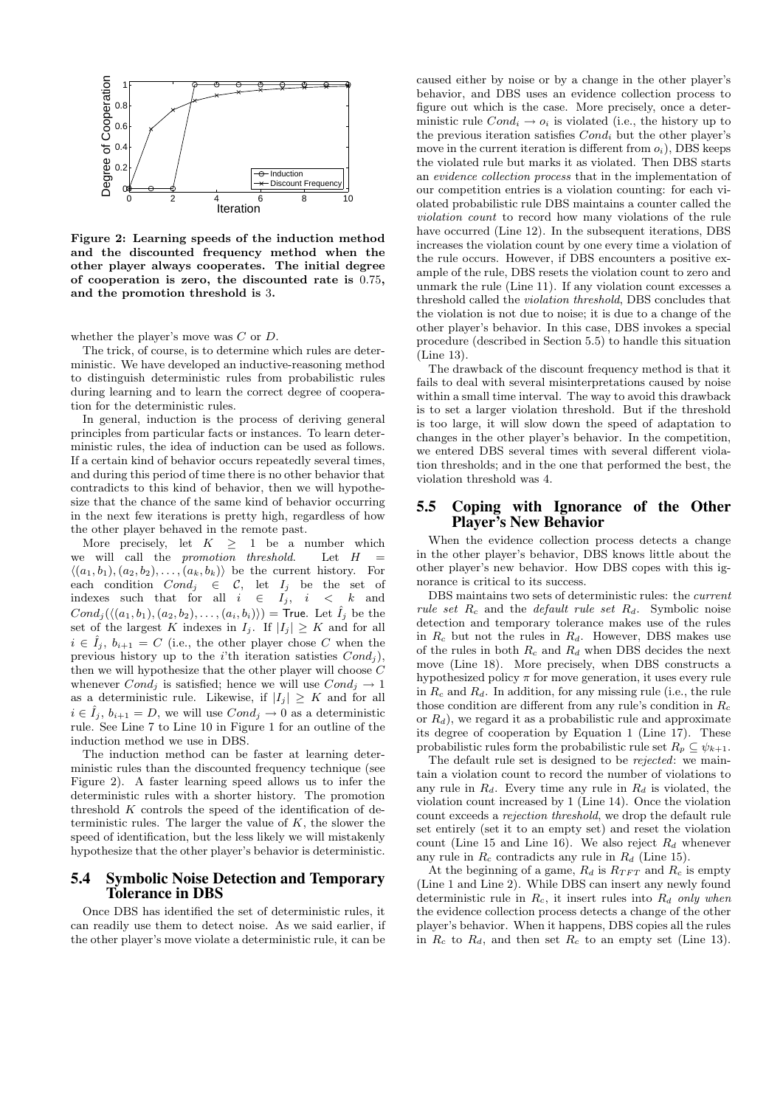

Figure 2: Learning speeds of the induction method and the discounted frequency method when the other player always cooperates. The initial degree of cooperation is zero, the discounted rate is 0.75, and the promotion threshold is 3.

whether the player's move was C or D.

The trick, of course, is to determine which rules are deterministic. We have developed an inductive-reasoning method to distinguish deterministic rules from probabilistic rules during learning and to learn the correct degree of cooperation for the deterministic rules.

In general, induction is the process of deriving general principles from particular facts or instances. To learn deterministic rules, the idea of induction can be used as follows. If a certain kind of behavior occurs repeatedly several times, and during this period of time there is no other behavior that contradicts to this kind of behavior, then we will hypothesize that the chance of the same kind of behavior occurring in the next few iterations is pretty high, regardless of how the other player behaved in the remote past.

More precisely, let  $K \geq 1$  be a number which we will call the promotion threshold. Let  $H =$  $\langle (a_1, b_1), (a_2, b_2), \ldots, (a_k, b_k) \rangle$  be the current history. For each condition  $Cond_j \in \mathcal{C}$ , let  $I_j$  be the set of indexes such that for all  $i \in I_j$ ,  $i \leq k$  and  $Cond_j(\langle (a_1, b_1), (a_2, b_2), \ldots, (a_i, b_i)\rangle)$  = True. Let  $\hat{I}_j$  be the set of the largest K indexes in  $I_j$ . If  $|I_j| \geq K$  and for all  $i \in \hat{I}_i, b_{i+1} = C$  (i.e., the other player chose C when the previous history up to the *i*'th iteration satisties  $Cond_i$ ), then we will hypothesize that the other player will choose C whenever  $Cond_i$  is satisfied; hence we will use  $Cond_i \rightarrow 1$ as a deterministic rule. Likewise, if  $|I_j| \geq K$  and for all  $i \in \hat{I}_j, b_{i+1} = D$ , we will use  $Cond_j \rightarrow 0$  as a deterministic rule. See Line 7 to Line 10 in Figure 1 for an outline of the induction method we use in DBS.

The induction method can be faster at learning deterministic rules than the discounted frequency technique (see Figure 2). A faster learning speed allows us to infer the deterministic rules with a shorter history. The promotion threshold  $K$  controls the speed of the identification of deterministic rules. The larger the value of  $K$ , the slower the speed of identification, but the less likely we will mistakenly hypothesize that the other player's behavior is deterministic.

### 5.4 Symbolic Noise Detection and Temporary Tolerance in DBS

Once DBS has identified the set of deterministic rules, it can readily use them to detect noise. As we said earlier, if the other player's move violate a deterministic rule, it can be

caused either by noise or by a change in the other player's behavior, and DBS uses an evidence collection process to figure out which is the case. More precisely, once a deterministic rule  $Cond_i \rightarrow o_i$  is violated (i.e., the history up to the previous iteration satisfies  $Cond_i$  but the other player's move in the current iteration is different from  $o_i$ ), DBS keeps the violated rule but marks it as violated. Then DBS starts an evidence collection process that in the implementation of our competition entries is a violation counting: for each violated probabilistic rule DBS maintains a counter called the violation count to record how many violations of the rule have occurred (Line 12). In the subsequent iterations, DBS increases the violation count by one every time a violation of the rule occurs. However, if DBS encounters a positive example of the rule, DBS resets the violation count to zero and unmark the rule (Line 11). If any violation count excesses a threshold called the violation threshold, DBS concludes that the violation is not due to noise; it is due to a change of the other player's behavior. In this case, DBS invokes a special procedure (described in Section 5.5) to handle this situation (Line 13).

The drawback of the discount frequency method is that it fails to deal with several misinterpretations caused by noise within a small time interval. The way to avoid this drawback is to set a larger violation threshold. But if the threshold is too large, it will slow down the speed of adaptation to changes in the other player's behavior. In the competition, we entered DBS several times with several different violation thresholds; and in the one that performed the best, the violation threshold was 4.

### 5.5 Coping with Ignorance of the Other Player's New Behavior

When the evidence collection process detects a change in the other player's behavior, DBS knows little about the other player's new behavior. How DBS copes with this ignorance is critical to its success.

DBS maintains two sets of deterministic rules: the current rule set  $R_c$  and the *default rule set*  $R_d$ . Symbolic noise detection and temporary tolerance makes use of the rules in  $R_c$  but not the rules in  $R_d$ . However, DBS makes use of the rules in both  $R_c$  and  $R_d$  when DBS decides the next move (Line 18). More precisely, when DBS constructs a hypothesized policy  $\pi$  for move generation, it uses every rule in  $R_c$  and  $R_d$ . In addition, for any missing rule (i.e., the rule those condition are different from any rule's condition in  $R_c$ or  $R_d$ ), we regard it as a probabilistic rule and approximate its degree of cooperation by Equation 1 (Line 17). These probabilistic rules form the probabilistic rule set  $R_p \subseteq \psi_{k+1}$ .

The default rule set is designed to be *rejected*: we maintain a violation count to record the number of violations to any rule in  $R_d$ . Every time any rule in  $R_d$  is violated, the violation count increased by 1 (Line 14). Once the violation count exceeds a rejection threshold, we drop the default rule set entirely (set it to an empty set) and reset the violation count (Line 15 and Line 16). We also reject  $R_d$  whenever any rule in  $R_c$  contradicts any rule in  $R_d$  (Line 15).

At the beginning of a game,  $R_d$  is  $R_{TFT}$  and  $R_c$  is empty (Line 1 and Line 2). While DBS can insert any newly found deterministic rule in  $R_c$ , it insert rules into  $R_d$  only when the evidence collection process detects a change of the other player's behavior. When it happens, DBS copies all the rules in  $R_c$  to  $R_d$ , and then set  $R_c$  to an empty set (Line 13).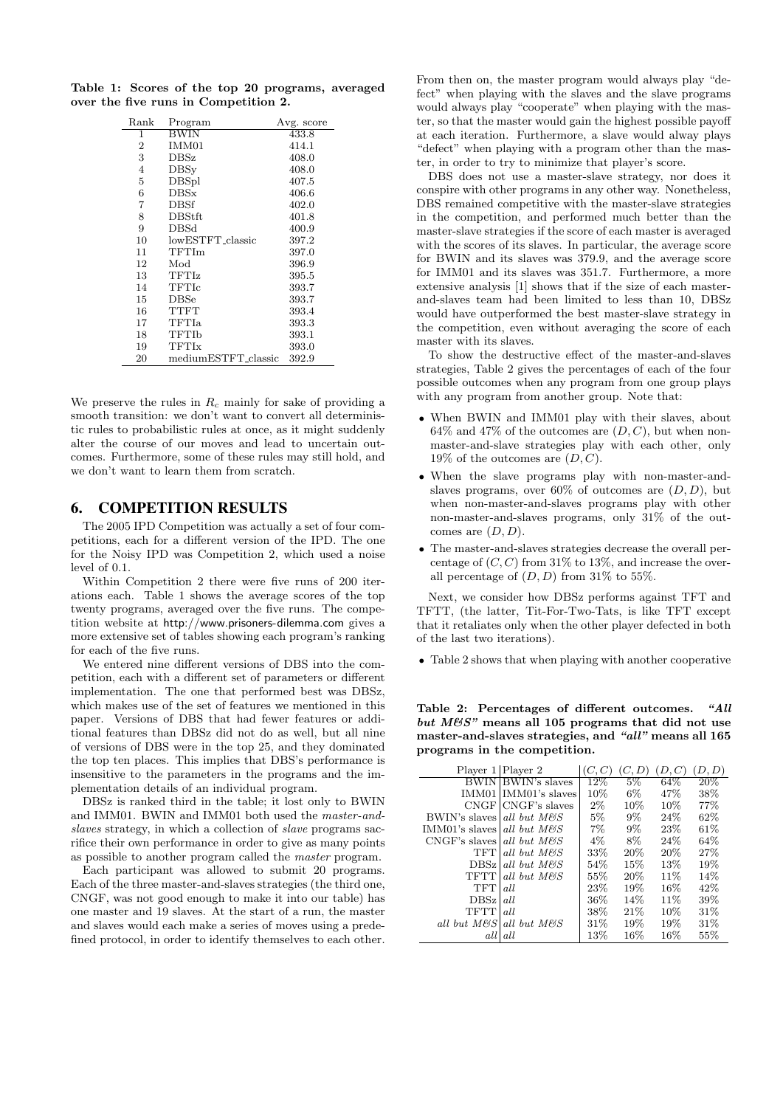| $\operatorname{Rank}$ | Program             | Avg. score |  |  |
|-----------------------|---------------------|------------|--|--|
| 1                     | <b>BWIN</b>         | 433.8      |  |  |
| 2                     | IMM01               | 414.1      |  |  |
| 3                     | $\rm DBSz$          | 408.0      |  |  |
| 4                     | $\rm DBSy$          | 408.0      |  |  |
| 5                     | <b>DBSpl</b>        | 407.5      |  |  |
| 6                     | $\rm DBSx$          | 406.6      |  |  |
| 7                     | DBSf                | 402.0      |  |  |
| 8                     | DBStft              | 401.8      |  |  |
| 9                     | <b>DBSd</b>         | 400.9      |  |  |
| 10                    | lowESTFT_classic    | 397.2      |  |  |
| 11                    | <b>TFTIm</b>        | 397.0      |  |  |
| 12                    | Mod                 | 396.9      |  |  |
| 13                    | <b>TFTIz</b>        | 395.5      |  |  |
| 14                    | <b>TFTIc</b>        | 393.7      |  |  |
| 15                    | $_{\rm{DBSe}}$      | 393.7      |  |  |
| 16                    | <b>TTFT</b>         | 393.4      |  |  |
| 17                    | TFTIa               | 393.3      |  |  |
| 18                    | TFTIb               | 393.1      |  |  |
| 19                    | TFTIx               | 393.0      |  |  |
| 20                    | mediumESTFT_classic | 392.9      |  |  |

Table 1: Scores of the top 20 programs, averaged over the five runs in Competition 2.

We preserve the rules in  $R_c$  mainly for sake of providing a smooth transition: we don't want to convert all deterministic rules to probabilistic rules at once, as it might suddenly alter the course of our moves and lead to uncertain outcomes. Furthermore, some of these rules may still hold, and we don't want to learn them from scratch.

### 6. COMPETITION RESULTS

The 2005 IPD Competition was actually a set of four competitions, each for a different version of the IPD. The one for the Noisy IPD was Competition 2, which used a noise level of 0.1.

Within Competition 2 there were five runs of 200 iterations each. Table 1 shows the average scores of the top twenty programs, averaged over the five runs. The competition website at http://www.prisoners-dilemma.com gives a more extensive set of tables showing each program's ranking for each of the five runs.

We entered nine different versions of DBS into the competition, each with a different set of parameters or different implementation. The one that performed best was DBSz, which makes use of the set of features we mentioned in this paper. Versions of DBS that had fewer features or additional features than DBSz did not do as well, but all nine of versions of DBS were in the top 25, and they dominated the top ten places. This implies that DBS's performance is insensitive to the parameters in the programs and the implementation details of an individual program.

DBSz is ranked third in the table; it lost only to BWIN and IMM01. BWIN and IMM01 both used the master-andslaves strategy, in which a collection of *slave* programs sacrifice their own performance in order to give as many points as possible to another program called the master program.

Each participant was allowed to submit 20 programs. Each of the three master-and-slaves strategies (the third one, CNGF, was not good enough to make it into our table) has one master and 19 slaves. At the start of a run, the master and slaves would each make a series of moves using a predefined protocol, in order to identify themselves to each other.

From then on, the master program would always play "defect" when playing with the slaves and the slave programs would always play "cooperate" when playing with the master, so that the master would gain the highest possible payoff at each iteration. Furthermore, a slave would alway plays "defect" when playing with a program other than the master, in order to try to minimize that player's score.

DBS does not use a master-slave strategy, nor does it conspire with other programs in any other way. Nonetheless, DBS remained competitive with the master-slave strategies in the competition, and performed much better than the master-slave strategies if the score of each master is averaged with the scores of its slaves. In particular, the average score for BWIN and its slaves was 379.9, and the average score for IMM01 and its slaves was 351.7. Furthermore, a more extensive analysis [1] shows that if the size of each masterand-slaves team had been limited to less than 10, DBSz would have outperformed the best master-slave strategy in the competition, even without averaging the score of each master with its slaves.

To show the destructive effect of the master-and-slaves strategies, Table 2 gives the percentages of each of the four possible outcomes when any program from one group plays with any program from another group. Note that:

- When BWIN and IMM01 play with their slaves, about  $64\%$  and  $47\%$  of the outcomes are  $(D, C)$ , but when nonmaster-and-slave strategies play with each other, only 19% of the outcomes are  $(D, C)$ .
- When the slave programs play with non-master-andslaves programs, over 60% of outcomes are  $(D, D)$ , but when non-master-and-slaves programs play with other non-master-and-slaves programs, only 31% of the outcomes are  $(D, D)$ .
- The master-and-slaves strategies decrease the overall percentage of  $(C, C)$  from 31% to 13%, and increase the overall percentage of  $(D, D)$  from 31% to 55%.

Next, we consider how DBSz performs against TFT and TFTT, (the latter, Tit-For-Two-Tats, is like TFT except that it retaliates only when the other player defected in both of the last two iterations).

• Table 2 shows that when playing with another cooperative

Table 2: Percentages of different outcomes. "All but  $M\mathcal{C}S$ " means all 105 programs that did not use master-and-slaves strategies, and "all" means all 165 programs in the competition.

|                 | Player 1   Player 2     | (C, C) | (C, D) | (D, C) | (D,D)  |
|-----------------|-------------------------|--------|--------|--------|--------|
| <b>BWIN</b>     | BWIN's slaves           | 12%    | $5\%$  | 64\%   | 20%    |
| IMM01           | IMM01's slaves          | 10%    | $6\%$  | 47%    | 38%    |
| <b>CNGF</b>     | CNGF's slaves           | $2\%$  | 10%    | 10%    | 77%    |
| BWIN's slaves   | all but M&S             | $5\%$  | $9\%$  | 24\%   | 62\%   |
| IMM01's slaves  | all but M&S             | 7%     | $9\%$  | 23\%   | 61\%   |
| $CNGF's$ slaves | all but M&S             | $4\%$  | 8%     | 24%    | 64\%   |
| TFT             | all but M&S             | 33%    | 20%    | 20%    | 27%    |
| $\rm DBSz$      | all but M&S             | 54%    | 15%    | 13%    | 19%    |
| TFTT            | all but M&S             | 55%    | 20%    | 11%    | 14%    |
| <b>TFT</b>      | all.                    | 23%    | 19%    | 16%    | 42\%   |
| <b>DBSz</b>     | all                     | 36\%   | 14%    | 11%    | 39%    |
| <b>TFTT</b>     | all.                    | 38%    | 21%    | 10%    | 31\%   |
|                 | all but M&S all but M&S | 31%    | 19%    | 19%    | 31\%   |
| all             | all                     | 13%    | 16%    | 16%    | $55\%$ |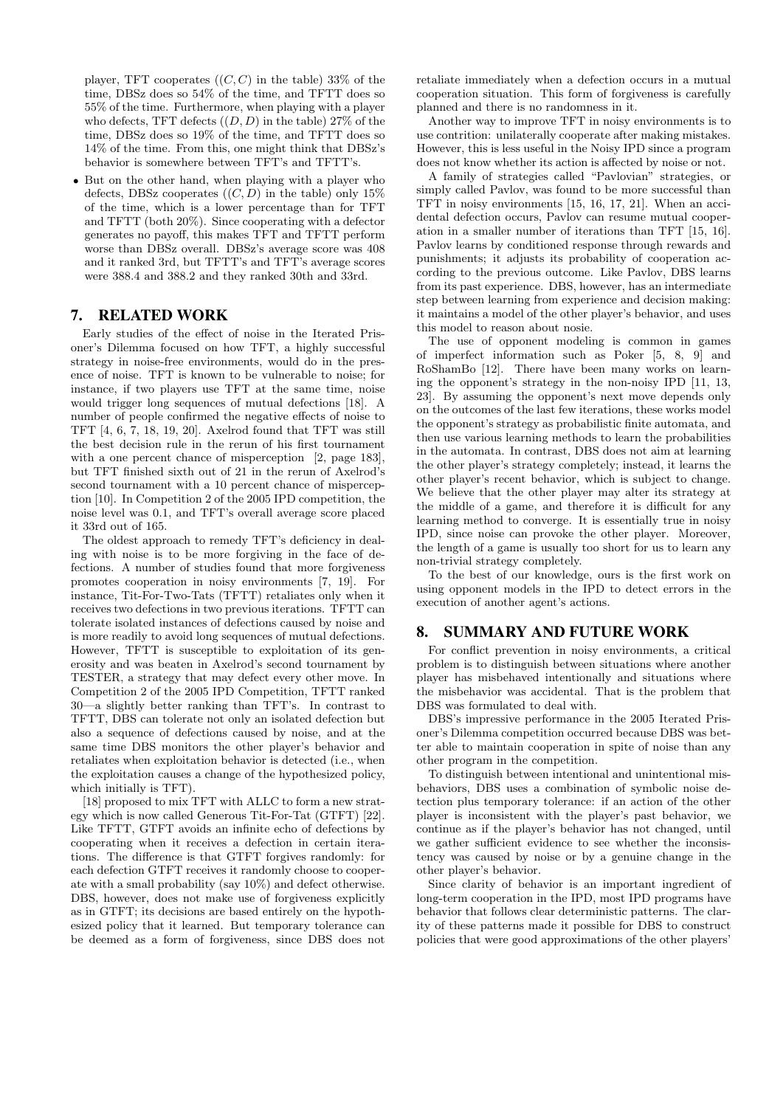player, TFT cooperates  $((C, C)$  in the table) 33% of the time, DBSz does so 54% of the time, and TFTT does so 55% of the time. Furthermore, when playing with a player who defects, TFT defects  $((D, D)$  in the table) 27% of the time, DBSz does so 19% of the time, and TFTT does so 14% of the time. From this, one might think that DBSz's behavior is somewhere between TFT's and TFTT's.

• But on the other hand, when playing with a player who defects, DBSz cooperates  $((C, D)$  in the table) only 15% of the time, which is a lower percentage than for TFT and TFTT (both 20%). Since cooperating with a defector generates no payoff, this makes TFT and TFTT perform worse than DBSz overall. DBSz's average score was 408 and it ranked 3rd, but TFTT's and TFT's average scores were 388.4 and 388.2 and they ranked 30th and 33rd.

### 7. RELATED WORK

Early studies of the effect of noise in the Iterated Prisoner's Dilemma focused on how TFT, a highly successful strategy in noise-free environments, would do in the presence of noise. TFT is known to be vulnerable to noise; for instance, if two players use TFT at the same time, noise would trigger long sequences of mutual defections [18]. A number of people confirmed the negative effects of noise to TFT [4, 6, 7, 18, 19, 20]. Axelrod found that TFT was still the best decision rule in the rerun of his first tournament with a one percent chance of misperception [2, page 183], but TFT finished sixth out of 21 in the rerun of Axelrod's second tournament with a 10 percent chance of misperception [10]. In Competition 2 of the 2005 IPD competition, the noise level was 0.1, and TFT's overall average score placed it 33rd out of 165.

The oldest approach to remedy TFT's deficiency in dealing with noise is to be more forgiving in the face of defections. A number of studies found that more forgiveness promotes cooperation in noisy environments [7, 19]. For instance, Tit-For-Two-Tats (TFTT) retaliates only when it receives two defections in two previous iterations. TFTT can tolerate isolated instances of defections caused by noise and is more readily to avoid long sequences of mutual defections. However, TFTT is susceptible to exploitation of its generosity and was beaten in Axelrod's second tournament by TESTER, a strategy that may defect every other move. In Competition 2 of the 2005 IPD Competition, TFTT ranked 30—a slightly better ranking than TFT's. In contrast to TFTT, DBS can tolerate not only an isolated defection but also a sequence of defections caused by noise, and at the same time DBS monitors the other player's behavior and retaliates when exploitation behavior is detected (i.e., when the exploitation causes a change of the hypothesized policy, which initially is TFT).

[18] proposed to mix TFT with ALLC to form a new strategy which is now called Generous Tit-For-Tat (GTFT) [22]. Like TFTT, GTFT avoids an infinite echo of defections by cooperating when it receives a defection in certain iterations. The difference is that GTFT forgives randomly: for each defection GTFT receives it randomly choose to cooperate with a small probability (say 10%) and defect otherwise. DBS, however, does not make use of forgiveness explicitly as in GTFT; its decisions are based entirely on the hypothesized policy that it learned. But temporary tolerance can be deemed as a form of forgiveness, since DBS does not retaliate immediately when a defection occurs in a mutual cooperation situation. This form of forgiveness is carefully planned and there is no randomness in it.

Another way to improve TFT in noisy environments is to use contrition: unilaterally cooperate after making mistakes. However, this is less useful in the Noisy IPD since a program does not know whether its action is affected by noise or not.

A family of strategies called "Pavlovian" strategies, or simply called Pavlov, was found to be more successful than TFT in noisy environments [15, 16, 17, 21]. When an accidental defection occurs, Pavlov can resume mutual cooperation in a smaller number of iterations than TFT [15, 16]. Pavlov learns by conditioned response through rewards and punishments; it adjusts its probability of cooperation according to the previous outcome. Like Pavlov, DBS learns from its past experience. DBS, however, has an intermediate step between learning from experience and decision making: it maintains a model of the other player's behavior, and uses this model to reason about nosie.

The use of opponent modeling is common in games of imperfect information such as Poker [5, 8, 9] and RoShamBo [12]. There have been many works on learning the opponent's strategy in the non-noisy IPD [11, 13, 23]. By assuming the opponent's next move depends only on the outcomes of the last few iterations, these works model the opponent's strategy as probabilistic finite automata, and then use various learning methods to learn the probabilities in the automata. In contrast, DBS does not aim at learning the other player's strategy completely; instead, it learns the other player's recent behavior, which is subject to change. We believe that the other player may alter its strategy at the middle of a game, and therefore it is difficult for any learning method to converge. It is essentially true in noisy IPD, since noise can provoke the other player. Moreover, the length of a game is usually too short for us to learn any non-trivial strategy completely.

To the best of our knowledge, ours is the first work on using opponent models in the IPD to detect errors in the execution of another agent's actions.

## 8. SUMMARY AND FUTURE WORK

For conflict prevention in noisy environments, a critical problem is to distinguish between situations where another player has misbehaved intentionally and situations where the misbehavior was accidental. That is the problem that DBS was formulated to deal with.

DBS's impressive performance in the 2005 Iterated Prisoner's Dilemma competition occurred because DBS was better able to maintain cooperation in spite of noise than any other program in the competition.

To distinguish between intentional and unintentional misbehaviors, DBS uses a combination of symbolic noise detection plus temporary tolerance: if an action of the other player is inconsistent with the player's past behavior, we continue as if the player's behavior has not changed, until we gather sufficient evidence to see whether the inconsistency was caused by noise or by a genuine change in the other player's behavior.

Since clarity of behavior is an important ingredient of long-term cooperation in the IPD, most IPD programs have behavior that follows clear deterministic patterns. The clarity of these patterns made it possible for DBS to construct policies that were good approximations of the other players'